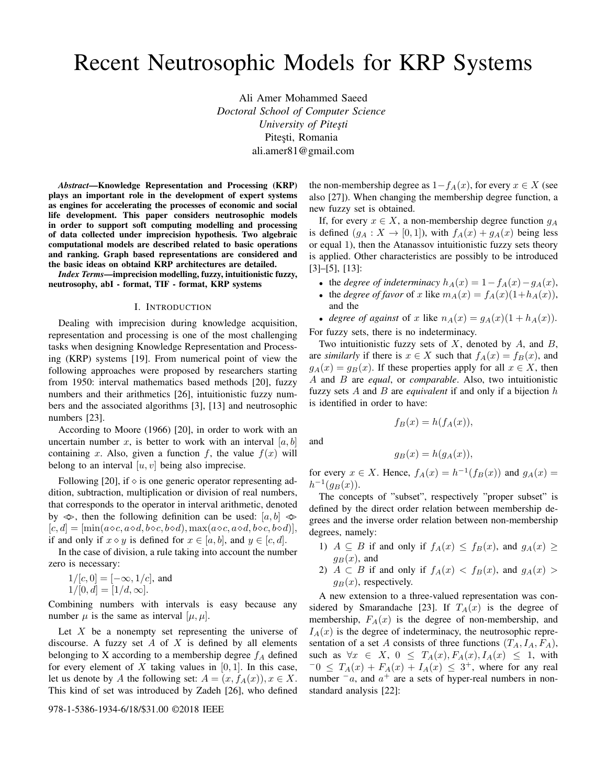# Recent Neutrosophic Models for KRP Systems

Ali Amer Mohammed Saeed *Doctoral School of Computer Science University of Pitesti* Pitești, Romania ali.amer81@gmail.com

*Abstract*—Knowledge Representation and Processing (KRP) plays an important role in the development of expert systems as engines for accelerating the processes of economic and social life development. This paper considers neutrosophic models in order to support soft computing modelling and processing of data collected under imprecision hypothesis. Two algebraic computational models are described related to basic operations and ranking. Graph based representations are considered and the basic ideas on obtaind KRP architectures are detailed.

*Index Terms*—imprecision modelling, fuzzy, intuitionistic fuzzy, neutrosophy, abI - format, TIF - format, KRP systems

#### I. INTRODUCTION

Dealing with imprecision during knowledge acquisition, representation and processing is one of the most challenging tasks when designing Knowledge Representation and Processing (KRP) systems [19]. From numerical point of view the following approaches were proposed by researchers starting from 1950: interval mathematics based methods [20], fuzzy numbers and their arithmetics [26], intuitionistic fuzzy numbers and the associated algorithms [3], [13] and neutrosophic numbers [23].

According to Moore (1966) [20], in order to work with an uncertain number x, is better to work with an interval  $[a, b]$ containing x. Also, given a function f, the value  $f(x)$  will belong to an interval  $[u, v]$  being also imprecise.

Following [20], if  $\diamond$  is one generic operator representing addition, subtraction, multiplication or division of real numbers, that corresponds to the operator in interval arithmetic, denoted by  $\infty$ , then the following definition can be used:  $[a, b] \infty$  $[c, d] = [\min(a \diamond c, a \diamond d, b \diamond c, b \diamond d), \max(a \diamond c, a \diamond d, b \diamond c, b \diamond d)],$ if and only if  $x \diamond y$  is defined for  $x \in [a, b]$ , and  $y \in [c, d]$ .

In the case of division, a rule taking into account the number zero is necessary:

 $1/[c, 0] = [-\infty, 1/c]$ , and  $1/[0, d] = [1/d, \infty].$ 

Combining numbers with intervals is easy because any number  $\mu$  is the same as interval  $[\mu, \mu]$ .

Let  $X$  be a nonempty set representing the universe of discourse. A fuzzy set  $A$  of  $X$  is defined by all elements belonging to X according to a membership degree  $f_A$  defined for every element of X taking values in  $[0, 1]$ . In this case, let us denote by A the following set:  $A = (x, f_A(x)), x \in X$ . This kind of set was introduced by Zadeh [26], who defined

978-1-5386-1934-6/18/\$31.00 ©2018 IEEE

the non-membership degree as  $1-f_A(x)$ , for every  $x \in X$  (see also [27]). When changing the membership degree function, a new fuzzy set is obtained.

If, for every  $x \in X$ , a non-membership degree function  $g_A$ is defined  $(g_A : X \to [0,1])$ , with  $f_A(x) + g_A(x)$  being less or equal 1), then the Atanassov intuitionistic fuzzy sets theory is applied. Other characteristics are possibly to be introduced [3]–[5], [13]:

- the *degree of indeterminacy*  $h_A(x) = 1 f_A(x) g_A(x)$ ,
- the *degree of favor* of x like  $m_A(x) = f_A(x)(1+h_A(x)),$ and the
- *degree of against* of x like  $n_A(x) = g_A(x)(1 + h_A(x))$ .

For fuzzy sets, there is no indeterminacy.

Two intuitionistic fuzzy sets of  $X$ , denoted by  $A$ , and  $B$ , are *similarly* if there is  $x \in X$  such that  $f_A(x) = f_B(x)$ , and  $g_A(x) = g_B(x)$ . If these properties apply for all  $x \in X$ , then A and B are *equal*, or *comparable*. Also, two intuitionistic fuzzy sets A and B are *equivalent* if and only if a bijection h is identified in order to have:

$$
f_B(x) = h(f_A(x)),
$$

and

$$
g_B(x) = h(g_A(x)),
$$

for every  $x \in X$ . Hence,  $f_A(x) = h^{-1}(f_B(x))$  and  $g_A(x) =$  $h^{-1}(g_B(x)).$ 

The concepts of "subset", respectively "proper subset" is defined by the direct order relation between membership degrees and the inverse order relation between non-membership degrees, namely:

- 1)  $A \subseteq B$  if and only if  $f_A(x) \leq f_B(x)$ , and  $g_A(x) \geq$  $g_B(x)$ , and
- 2)  $A \subset B$  if and only if  $f_A(x) < f_B(x)$ , and  $g_A(x) >$  $g_B(x)$ , respectively.

A new extension to a three-valued representation was considered by Smarandache [23]. If  $T_A(x)$  is the degree of membership,  $F_A(x)$  is the degree of non-membership, and  $I_A(x)$  is the degree of indeterminacy, the neutrosophic representation of a set A consists of three functions  $(T_A, I_A, F_A)$ , such as  $\forall x \in X, 0 \leq T_A(x), F_A(x), I_A(x) \leq 1$ , with  $-0 \leq T_A(x) + F_A(x) + I_A(x) \leq 3^+$ , where for any real number  $^-a$ , and  $a^+$  are a sets of hyper-real numbers in nonstandard analysis [22]: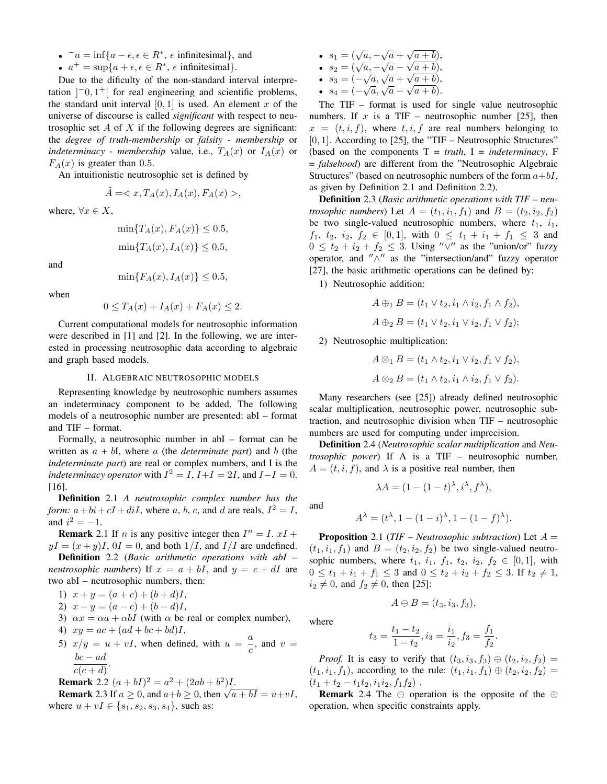- $a = \inf\{a \epsilon, \epsilon \in \mathbb{R}^*, \epsilon \text{ infinitesimal}\},\text{ and}$
- $a^+ = \sup\{a + \epsilon, \epsilon \in \mathbb{R}^*, \epsilon \text{ infinitesimal}\}.$

Due to the dificulty of the non-standard interval interpretation  $]$ <sup>-</sup>0,1<sup>+</sup>[ for real engineering and scientific problems, the standard unit interval  $[0, 1]$  is used. An element x of the universe of discourse is called *significant* with respect to neutrosophic set A of X if the following degrees are significant: the *degree of truth-membership* or *falsity* - *membership* or *indeterminacy* - *membership* value, i.e.,  $T_A(x)$  or  $I_A(x)$  or  $F_A(x)$  is greater than 0.5.

An intuitionistic neutrosophic set is defined by

$$
\tilde{A} = \langle x, T_A(x), I_A(x), F_A(x) \rangle,
$$

where,  $\forall x \in X$ ,

$$
\min\{T_A(x), F_A(x)\} \le 0.5,
$$
  

$$
\min\{T_A(x), I_A(x)\} \le 0.5,
$$

and

$$
\min\{F_A(x), I_A(x)\} \le 0.5,
$$

when

$$
0 \le T_A(x) + I_A(x) + F_A(x) \le 2.
$$

Current computational models for neutrosophic information were described in [1] and [2]. In the following, we are interested in processing neutrosophic data according to algebraic and graph based models.

### II. ALGEBRAIC NEUTROSOPHIC MODELS

Representing knowledge by neutrosophic numbers assumes an indeterminacy component to be added. The following models of a neutrosophic number are presented: abI – format and TIF – format.

Formally, a neutrosophic number in abI – format can be written as  $a + bI$ , where a (the *determinate part*) and b (the *indeterminate part*) are real or complex numbers, and I is the *indeterminacy operator* with  $I^2 = I$ ,  $I+I = 2I$ , and  $I-I = 0$ . [16].

Definition 2.1 *A neutrosophic complex number has the form:*  $a + bi + cI + diI$ , where a, b, c, and d are reals,  $I^2 = I$ , and  $i^2 = -1$ .

**Remark** 2.1 If *n* is any positive integer then  $I^n = I$ .  $xI +$  $yI = (x + y)I$ ,  $0I = 0$ , and both  $1/I$ , and  $I/I$  are undefined.

Definition 2.2 (*Basic arithmetic operations with abI – neutrosophic numbers*) If  $x = a + bI$ , and  $y = c + dI$  are two abI – neutrosophic numbers, then:

- 1)  $x + y = (a + c) + (b + d)I$ ,
- 2)  $x y = (a c) + (b d)I$ ,
- 3)  $\alpha x = \alpha a + \alpha bI$  (with  $\alpha$  be real or complex number),
- 4)  $xy = ac + (ad + bc + bd)I$ ,
- 5)  $x/y = u + vI$ , when defined, with  $u = \frac{a}{2}$  $\frac{a}{c}$ , and  $v =$  $\frac{bc - ad}{c}$ .  $\overline{c(c+d)}$

**Remark** 2.2 
$$
(a + bI)^2 = a^2 + (2ab + b^2)I
$$
.

**Remark** 2.2  $(a + bI)^2 = a^2 + (2ab + b^2)I$ .<br>**Remark** 2.3 If  $a \ge 0$ , and  $a+b \ge 0$ , then  $\sqrt{a+bI} = u+vI$ , where  $u + vI \in \{s_1, s_2, s_3, s_4\}$ , such as:

- $s_1 = (\sqrt{a}, -\sqrt{a} + \sqrt{a})$ √  $\sqrt{a+b}$ , •  $s_1 = (\sqrt{a}, -\sqrt{a} + \sqrt{a} + b),$ <br>•  $s_2 = (\sqrt{a}, -\sqrt{a} - \sqrt{a} + b),$
- $s_2 = (\sqrt{a}, -\sqrt{a})$ <br>•  $s_3 = (-\sqrt{a}, \sqrt{a})$  $\mathsf{v}_{j}$
- $\sqrt{a}, \sqrt{a} + \sqrt{a+b}),$ •  $s_3 = (-\sqrt{a}, \sqrt{a} + \sqrt{a} + b),$ <br>•  $s_4 = (-\sqrt{a}, \sqrt{a} - \sqrt{a} + b).$

The TIF – format is used for single value neutrosophic numbers. If x is a TIF – neutrosophic number [25], then  $x = (t, i, f)$ , where  $t, i, f$  are real numbers belonging to  $[0, 1]$ . According to [25], the "TIF – Neutrosophic Structures" (based on the components  $T = truth$ ,  $I = indeterminacy$ ,  $F$ = *falsehood*) are different from the "Neutrosophic Algebraic Structures" (based on neutrosophic numbers of the form  $a+bI$ , as given by Definition 2.1 and Definition 2.2).

Definition 2.3 (*Basic arithmetic operations with TIF – neutrosophic numbers*) Let  $A = (t_1, i_1, f_1)$  and  $B = (t_2, i_2, f_2)$ be two single-valued neutrosophic numbers, where  $t_1$ ,  $i_1$ ,  $f_1, t_2, i_2, f_2 \in [0,1],$  with  $0 \leq t_1 + i_1 + f_1 \leq 3$  and  $0 \leq t_2 + i_2 + f_2 \leq 3$ . Using " $\vee$ " as the "union/or" fuzzy operator, and  $\sqrt{n}$  as the "intersection/and" fuzzy operator [27], the basic arithmetic operations can be defined by:

1) Neutrosophic addition:

$$
A \oplus_1 B = (t_1 \vee t_2, i_1 \wedge i_2, f_1 \wedge f_2),
$$
  

$$
A \oplus_2 B = (t_1 \vee t_2, i_1 \vee i_2, f_1 \vee f_2);
$$

2) Neutrosophic multiplication:

$$
A \otimes_1 B = (t_1 \wedge t_2, i_1 \vee i_2, f_1 \vee f_2),
$$
  

$$
A \otimes_2 B = (t_1 \wedge t_2, i_1 \wedge i_2, f_1 \vee f_2).
$$

Many researchers (see [25]) already defined neutrosophic scalar multiplication, neutrosophic power, neutrosophic subtraction, and neutrosophic division when TIF – neutrosophic numbers are used for computing under imprecision.

Definition 2.4 (*Neutrosophic scalar multiplication* and *Neutrosophic power*) If A is a TIF – neutrosophic number,  $A = (t, i, f)$ , and  $\lambda$  is a positive real number, then

 $\lambda A = (1 - (1 - t)^{\lambda}, i^{\lambda}, f^{\lambda}),$ 

and

$$
A^{\lambda} = (t^{\lambda}, 1 - (1 - i)^{\lambda}, 1 - (1 - f)^{\lambda}).
$$

Proposition 2.1 (*TIF – Neutrosophic subtraction*) Let A =  $(t_1, i_1, f_1)$  and  $B = (t_2, i_2, f_2)$  be two single-valued neutrosophic numbers, where  $t_1$ ,  $i_1$ ,  $f_1$ ,  $t_2$ ,  $i_2$ ,  $f_2 \in [0,1]$ , with  $0 \le t_1 + i_1 + f_1 \le 3$  and  $0 \le t_2 + i_2 + f_2 \le 3$ . If  $t_2 \ne 1$ ,  $i_2 \neq 0$ , and  $f_2 \neq 0$ , then [25]:

$$
A \ominus B = (t_3, i_3, f_3),
$$

where

$$
t_3 = \frac{t_1 - t_2}{1 - t_2}, i_3 = \frac{i_1}{i_2}, f_3 = \frac{f_1}{f_2}.
$$

*Proof.* It is easy to verify that  $(t_3, i_3, f_3) \oplus (t_2, i_2, f_2) =$  $(t_1, i_1, f_1)$ , according to the rule:  $(t_1, i_1, f_1) \oplus (t_2, i_2, f_2) =$  $(t_1 + t_2 - t_1t_2, i_1i_2, f_1f_2)$ .

**Remark** 2.4 The  $\ominus$  operation is the opposite of the  $\oplus$ operation, when specific constraints apply.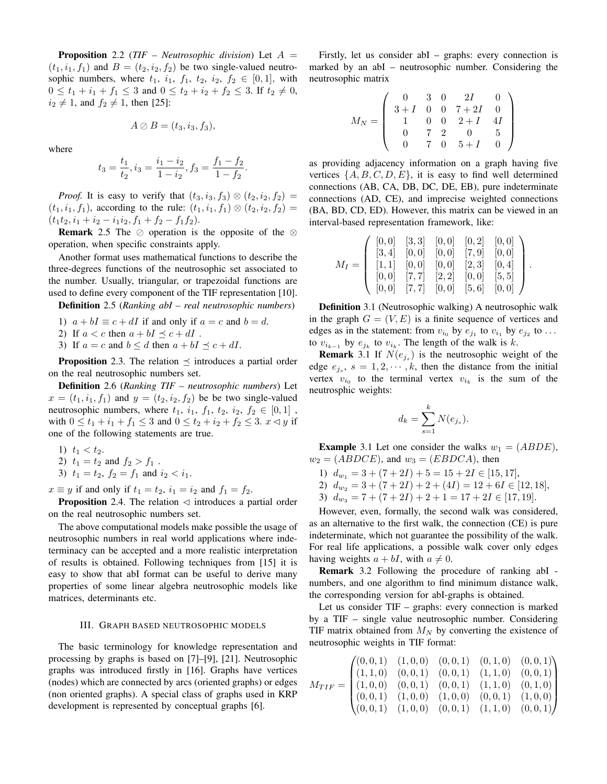Proposition 2.2 (*TIF – Neutrosophic division*) Let A =  $(t_1, i_1, f_1)$  and  $B = (t_2, i_2, f_2)$  be two single-valued neutrosophic numbers, where  $t_1$ ,  $i_1$ ,  $f_1$ ,  $t_2$ ,  $i_2$ ,  $f_2 \in [0,1]$ , with  $0 \le t_1 + i_1 + f_1 \le 3$  and  $0 \le t_2 + i_2 + f_2 \le 3$ . If  $t_2 \ne 0$ ,  $i_2 \neq 1$ , and  $f_2 \neq 1$ , then [25]:

$$
A \oslash B = (t_3, i_3, f_3),
$$

where

$$
t_3 = \frac{t_1}{t_2}, i_3 = \frac{i_1 - i_2}{1 - i_2}, f_3 = \frac{f_1 - f_2}{1 - f_2}.
$$

*Proof.* It is easy to verify that  $(t_3, i_3, f_3) \otimes (t_2, i_2, f_2) =$  $(t_1, i_1, f_1)$ , according to the rule:  $(t_1, i_1, f_1) \otimes (t_2, i_2, f_2) =$  $(t_1t_2, i_1 + i_2 - i_1i_2, f_1 + f_2 - f_1f_2).$ 

**Remark** 2.5 The  $\oslash$  operation is the opposite of the  $\oslash$ operation, when specific constraints apply.

Another format uses mathematical functions to describe the three-degrees functions of the neutrosophic set associated to the number. Usually, triangular, or trapezoidal functions are used to define every component of the TIF representation [10].

Definition 2.5 (*Ranking abI – real neutrosophic numbers*)

1) 
$$
a + bI \equiv c + dI
$$
 if and only if  $a = c$  and  $b = d$ .

2) If  $a < c$  then  $a + bI \preceq c + dI$ .

3) If  $a = c$  and  $b \le d$  then  $a + bI \le c + dI$ .

**Proposition** 2.3. The relation  $\preceq$  introduces a partial order on the real neutrosophic numbers set.

Definition 2.6 (*Ranking TIF – neutrosophic numbers*) Let  $x = (t_1, i_1, f_1)$  and  $y = (t_2, i_2, f_2)$  be be two single-valued neutrosophic numbers, where  $t_1$ ,  $i_1$ ,  $f_1$ ,  $t_2$ ,  $i_2$ ,  $f_2 \in [0,1]$ , with  $0 \le t_1 + i_1 + f_1 \le 3$  and  $0 \le t_2 + i_2 + f_2 \le 3$ .  $x \le y$  if one of the following statements are true.

- 1)  $t_1 < t_2$ .
- 2)  $t_1 = t_2$  and  $f_2 > f_1$ .
- 3)  $t_1 = t_2$ ,  $f_2 = f_1$  and  $i_2 < i_1$ .

 $x \equiv y$  if and only if  $t_1 = t_2$ ,  $i_1 = i_2$  and  $f_1 = f_2$ .

**Proposition** 2.4. The relation  $\triangleleft$  introduces a partial order on the real neutrosophic numbers set.

The above computational models make possible the usage of neutrosophic numbers in real world applications where indeterminacy can be accepted and a more realistic interpretation of results is obtained. Following techniques from [15] it is easy to show that abI format can be useful to derive many properties of some linear algebra neutrosophic models like matrices, determinants etc.

## III. GRAPH BASED NEUTROSOPHIC MODELS

The basic terminology for knowledge representation and processing by graphs is based on [7]–[9], [21]. Neutrosophic graphs was introduced firstly in [16]. Graphs have vertices (nodes) which are connected by arcs (oriented graphs) or edges (non oriented graphs). A special class of graphs used in KRP development is represented by conceptual graphs [6].

Firstly, let us consider abI – graphs: every connection is marked by an abI – neutrosophic number. Considering the neutrosophic matrix

$$
M_N=\left(\begin{array}{cccccc} 0 & 3 & 0 & 2I & 0 \\ 3+I & 0 & 0 & 7+2I & 0 \\ 1 & 0 & 0 & 2+I & 4I \\ 0 & 7 & 2 & 0 & 5 \\ 0 & 7 & 0 & 5+I & 0 \end{array}\right)
$$

as providing adjacency information on a graph having five vertices  $\{A, B, C, D, E\}$ , it is easy to find well determined connections (AB, CA, DB, DC, DE, EB), pure indeterminate connections (AD, CE), and imprecise weighted connections (BA, BD, CD, ED). However, this matrix can be viewed in an interval-based representation framework, like:

$$
M_I = \left( \begin{array}{cccc} [0,0] & [3,3] & [0,0] & [0,2] & [0,0] \\ [3,4] & [0,0] & [0,0] & [7,9] & [0,0] \\ [1,1] & [0,0] & [0,0] & [2,3] & [0,4] \\ [0,0] & [7,7] & [2,2] & [0,0] & [5,5] \\ [0,0] & [7,7] & [0,0] & [5,6] & [0,0] \end{array} \right).
$$

Definition 3.1 (Neutrosophic walking) A neutrosophic walk in the graph  $G = (V, E)$  is a finite sequence of vertices and edges as in the statement: from  $v_{i_0}$  by  $e_{j_1}$  to  $v_{i_1}$  by  $e_{j_2}$  to ... to  $v_{i_{k-1}}$  by  $e_{j_k}$  to  $v_{i_k}$ . The length of the walk is k.

**Remark** 3.1 If  $N(e_{j_s})$  is the neutrosophic weight of the edge  $e_{j_s}$ ,  $s = 1, 2, \dots, k$ , then the distance from the initial vertex  $v_{i_0}$  to the terminal vertex  $v_{i_k}$  is the sum of the neutrosphic weights:

$$
d_k = \sum_{s=1}^k N(e_{j_s}).
$$

**Example** 3.1 Let one consider the walks  $w_1 = (ABDE)$ ,  $w_2 = (ABDCE)$ , and  $w_3 = (EBDCA)$ , then

1)  $d_{w_1} = 3 + (7 + 2I) + 5 = 15 + 2I \in [15, 17],$ 

2)  $d_{w_2} = 3 + (7 + 2I) + 2 + (4I) = 12 + 6I \in [12, 18],$ 

3)  $d_{w_3} = 7 + (7 + 2I) + 2 + 1 = 17 + 2I \in [17, 19].$ 

However, even, formally, the second walk was considered, as an alternative to the first walk, the connection (CE) is pure indeterminate, which not guarantee the possibility of the walk. For real life applications, a possible walk cover only edges having weights  $a + bI$ , with  $a \neq 0$ .

Remark 3.2 Following the procedure of ranking abI numbers, and one algorithm to find minimum distance walk, the corresponding version for abI-graphs is obtained.

Let us consider TIF – graphs: every connection is marked by a TIF – single value neutrosophic number. Considering TIF matrix obtained from  $M_N$  by converting the existence of neutrosophic weights in TIF format:

$$
M_{TIF} = \begin{pmatrix} (0,0,1) & (1,0,0) & (0,0,1) & (0,1,0) & (0,0,1) \\ (1,1,0) & (0,0,1) & (0,0,1) & (1,1,0) & (0,0,1) \\ (1,0,0) & (0,0,1) & (0,0,1) & (1,1,0) & (0,1,0) \\ (0,0,1) & (1,0,0) & (1,0,0) & (0,0,1) & (1,0,0) \\ (0,0,1) & (1,0,0) & (0,0,1) & (1,1,0) & (0,0,1) \end{pmatrix}
$$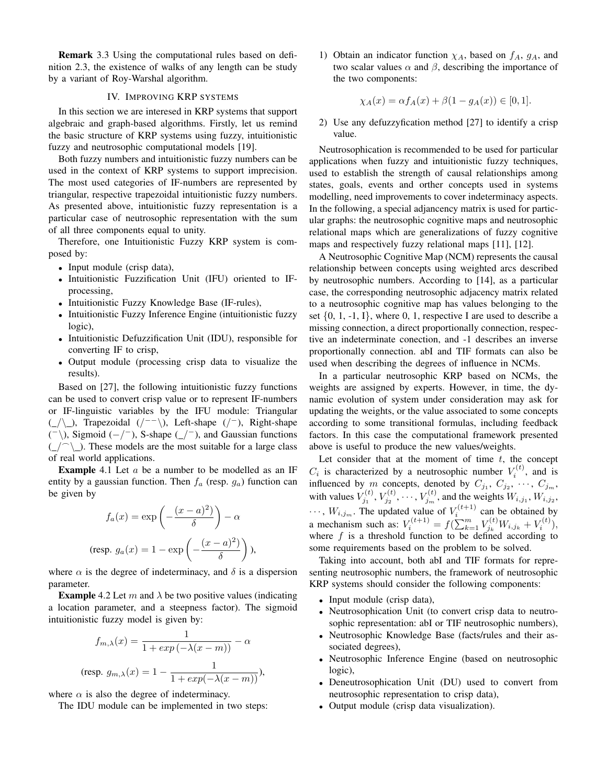Remark 3.3 Using the computational rules based on definition 2.3, the existence of walks of any length can be study by a variant of Roy-Warshal algorithm.

## IV. IMPROVING KRP SYSTEMS

In this section we are interesed in KRP systems that support algebraic and graph-based algorithms. Firstly, let us remind the basic structure of KRP systems using fuzzy, intuitionistic fuzzy and neutrosophic computational models [19].

Both fuzzy numbers and intuitionistic fuzzy numbers can be used in the context of KRP systems to support imprecision. The most used categories of IF-numbers are represented by triangular, respective trapezoidal intuitionistic fuzzy numbers. As presented above, intuitionistic fuzzy representation is a particular case of neutrosophic representation with the sum of all three components equal to unity.

Therefore, one Intuitionistic Fuzzy KRP system is composed by:

- Input module (crisp data),
- Intuitionistic Fuzzification Unit (IFU) oriented to IFprocessing,
- Intuitionistic Fuzzy Knowledge Base (IF-rules),
- Intuitionistic Fuzzy Inference Engine (intuitionistic fuzzy logic),
- Intuitionistic Defuzzification Unit (IDU), responsible for converting IF to crisp,
- Output module (processing crisp data to visualize the results).

Based on [27], the following intuitionistic fuzzy functions can be used to convert crisp value or to represent IF-numbers or IF-linguistic variables by the IFU module: Triangular (  $\angle$  ), Trapezoidal ( / - - \), Left-shape ( / - ), Right-shape  $($ <sup>-</sup> $\rangle$ ), Sigmoid (−/<sup>-</sup>), S-shape (\_/<sup>-</sup>), and Gaussian functions  $(\angle \cap \setminus \angle)$ . These models are the most suitable for a large class of real world applications.

**Example** 4.1 Let  $\alpha$  be a number to be modelled as an IF entity by a gaussian function. Then  $f_a$  (resp.  $g_a$ ) function can be given by

$$
f_a(x) = \exp\left(-\frac{(x-a)^2}{\delta}\right) - \alpha
$$
  
(resp.  $g_a(x) = 1 - \exp\left(-\frac{(x-a)^2}{\delta}\right)$ ),

where  $\alpha$  is the degree of indeterminacy, and  $\delta$  is a dispersion parameter.

**Example** 4.2 Let m and  $\lambda$  be two positive values (indicating a location parameter, and a steepness factor). The sigmoid intuitionistic fuzzy model is given by:

$$
f_{m,\lambda}(x) = \frac{1}{1 + exp(-\lambda(x - m))} - \alpha
$$
  
(resp.  $g_{m,\lambda}(x) = 1 - \frac{1}{1 + exp(-\lambda(x - m))})$ ),

where  $\alpha$  is also the degree of indeterminacy.

The IDU module can be implemented in two steps:

1) Obtain an indicator function  $\chi_A$ , based on  $f_A$ ,  $g_A$ , and two scalar values  $\alpha$  and  $\beta$ , describing the importance of the two components:

$$
\chi_A(x) = \alpha f_A(x) + \beta (1 - g_A(x)) \in [0, 1].
$$

2) Use any defuzzyfication method [27] to identify a crisp value.

Neutrosophication is recommended to be used for particular applications when fuzzy and intuitionistic fuzzy techniques, used to establish the strength of causal relationships among states, goals, events and orther concepts used in systems modelling, need improvements to cover indeterminacy aspects. In the following, a special adjancency matrix is used for particular graphs: the neutrosophic cognitive maps and neutrosophic relational maps which are generalizations of fuzzy cognitive maps and respectively fuzzy relational maps [11], [12].

A Neutrosophic Cognitive Map (NCM) represents the causal relationship between concepts using weighted arcs described by neutrosophic numbers. According to [14], as a particular case, the corresponding neutrosophic adjacency matrix related to a neutrosophic cognitive map has values belonging to the set  $\{0, 1, -1, I\}$ , where 0, 1, respective I are used to describe a missing connection, a direct proportionally connection, respective an indeterminate conection, and -1 describes an inverse proportionally connection. abI and TIF formats can also be used when describing the degrees of influence in NCMs.

In a particular neutrosophic KRP based on NCMs, the weights are assigned by experts. However, in time, the dynamic evolution of system under consideration may ask for updating the weights, or the value associated to some concepts according to some transitional formulas, including feedback factors. In this case the computational framework presented above is useful to produce the new values/weights.

Let consider that at the moment of time  $t$ , the concept  $C_i$  is characterized by a neutrosophic number  $V_i^{(t)}$ , and is influenced by m concepts, denoted by  $C_{j_1}, C_{j_2}, \cdots, C_{j_m}$ , with values  $V_{j_1}^{(t)}, V_{j_2}^{(t)}, \cdots, V_{j_m}^{(t)}$ , and the weights  $W_{i,j_1}, W_{i,j_2}$ ,  $\cdots$ ,  $W_{i,j_m}$ . The updated value of  $V_i^{(t+1)}$  can be obtained by a mechanism such as:  $V_i^{(t+1)} = f(\sum_{k=1}^m V_{j_k}^{(t)} W_{i,j_k} + V_i^{(t)}),$ where  $f$  is a threshold function to be defined according to some requirements based on the problem to be solved.

Taking into account, both abI and TIF formats for representing neutrosophic numbers, the framework of neutrosophic KRP systems should consider the following components:

- Input module (crisp data),
- Neutrosophication Unit (to convert crisp data to neutrosophic representation: abI or TIF neutrosophic numbers),
- Neutrosophic Knowledge Base (facts/rules and their associated degrees),
- Neutrosophic Inference Engine (based on neutrosophic logic),
- Deneutrosophication Unit (DU) used to convert from neutrosophic representation to crisp data),
- Output module (crisp data visualization).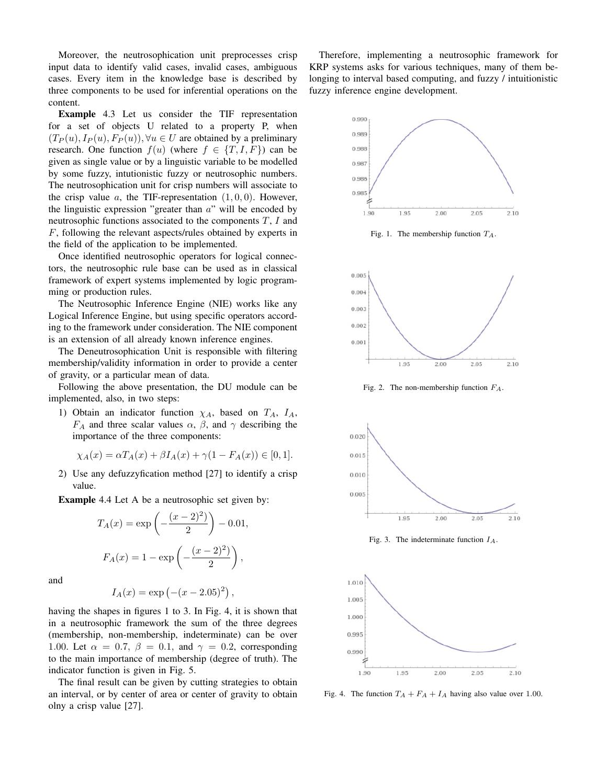Moreover, the neutrosophication unit preprocesses crisp input data to identify valid cases, invalid cases, ambiguous cases. Every item in the knowledge base is described by three components to be used for inferential operations on the content.

Example 4.3 Let us consider the TIF representation for a set of objects U related to a property P, when  $(T_P(u), I_P(u), F_P(u)), \forall u \in U$  are obtained by a preliminary research. One function  $f(u)$  (where  $f \in \{T, I, F\}$ ) can be given as single value or by a linguistic variable to be modelled by some fuzzy, intutionistic fuzzy or neutrosophic numbers. The neutrosophication unit for crisp numbers will associate to the crisp value a, the TIF-representation  $(1, 0, 0)$ . However, the linguistic expression "greater than  $a$ " will be encoded by neutrosophic functions associated to the components  $T$ ,  $I$  and F, following the relevant aspects/rules obtained by experts in the field of the application to be implemented.

Once identified neutrosophic operators for logical connectors, the neutrosophic rule base can be used as in classical framework of expert systems implemented by logic programming or production rules.

The Neutrosophic Inference Engine (NIE) works like any Logical Inference Engine, but using specific operators according to the framework under consideration. The NIE component is an extension of all already known inference engines.

The Deneutrosophication Unit is responsible with filtering membership/validity information in order to provide a center of gravity, or a particular mean of data.

Following the above presentation, the DU module can be implemented, also, in two steps:

1) Obtain an indicator function  $\chi_A$ , based on  $T_A$ ,  $I_A$ ,  $F_A$  and three scalar values  $\alpha$ ,  $\beta$ , and  $\gamma$  describing the importance of the three components:

$$
\chi_A(x) = \alpha T_A(x) + \beta I_A(x) + \gamma (1 - F_A(x)) \in [0, 1].
$$

2) Use any defuzzyfication method [27] to identify a crisp value.

Example 4.4 Let A be a neutrosophic set given by:

$$
T_A(x) = \exp\left(-\frac{(x-2)^2}{2}\right) - 0.01,
$$
  

$$
F_A(x) = 1 - \exp\left(-\frac{(x-2)^2}{2}\right),
$$

and

$$
I_A(x) = \exp(-(x - 2.05)^2)
$$

,

having the shapes in figures 1 to 3. In Fig. 4, it is shown that in a neutrosophic framework the sum of the three degrees (membership, non-membership, indeterminate) can be over 1.00. Let  $\alpha = 0.7$ ,  $\beta = 0.1$ , and  $\gamma = 0.2$ , corresponding to the main importance of membership (degree of truth). The indicator function is given in Fig. 5.

The final result can be given by cutting strategies to obtain an interval, or by center of area or center of gravity to obtain olny a crisp value [27].

Therefore, implementing a neutrosophic framework for KRP systems asks for various techniques, many of them belonging to interval based computing, and fuzzy / intuitionistic fuzzy inference engine development.



Fig. 1. The membership function  $T_A$ .



Fig. 2. The non-membership function  $F_A$ .



Fig. 3. The indeterminate function  $I_A$ .



Fig. 4. The function  $T_A + F_A + I_A$  having also value over 1.00.